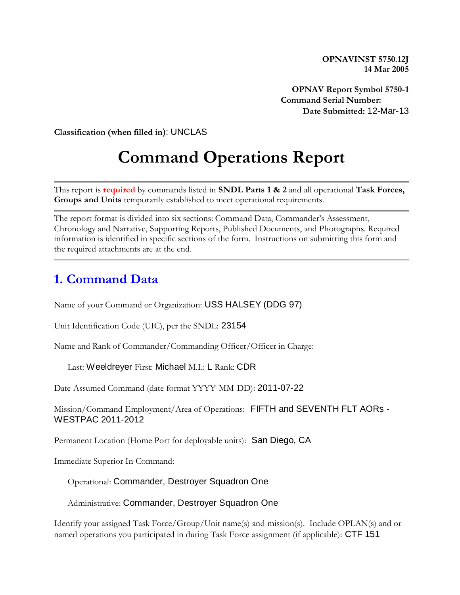**OPNAVINST 5750.12J 14 Mar 2005**

**OPNAV Report Symbol 5750-1 Command Serial Number: Date Submitted:** 12-Mar-13

**Classification (when filled in**): UNCLAS

# **Command Operations Report**

This report is **required** by commands listed in **SNDL Parts 1 & 2** and all operational **Task Forces, Groups and Units** temporarily established to meet operational requirements.

The report format is divided into six sections: Command Data, Commander's Assessment, Chronology and Narrative, Supporting Reports, Published Documents, and Photographs. Required information is identified in specific sections of the form. Instructions on submitting this form and the required attachments are at the end.

#### **1. Command Data**

Name of your Command or Organization: USS HALSEY (DDG 97)

Unit Identification Code (UIC), per the SNDL: 23154

Name and Rank of Commander/Commanding Officer/Officer in Charge:

Last: Weeldreyer First: Michael M.I.: L Rank: CDR

Date Assumed Command (date format YYYY-MM-DD): 2011-07-22

Mission/Command Employment/Area of Operations: FIFTH and SEVENTH FLT AORs - WESTPAC 2011-2012

Permanent Location (Home Port for deployable units): San Diego, CA

Immediate Superior In Command:

Operational: Commander, Destroyer Squadron One

Administrative: Commander, Destroyer Squadron One

Identify your assigned Task Force/Group/Unit name(s) and mission(s). Include OPLAN(s) and or named operations you participated in during Task Force assignment (if applicable): CTF 151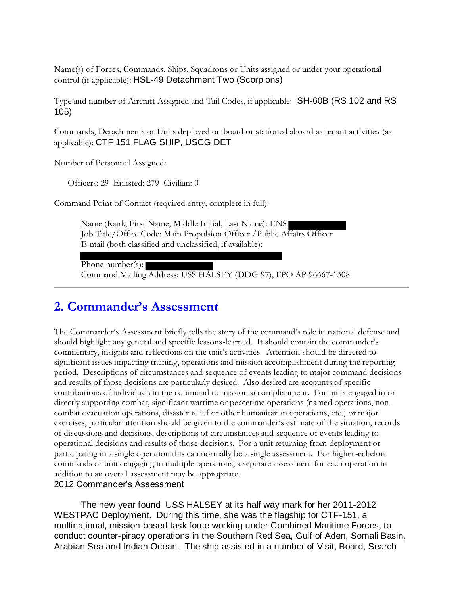Name(s) of Forces, Commands, Ships, Squadrons or Units assigned or under your operational control (if applicable): HSL-49 Detachment Two (Scorpions)

Type and number of Aircraft Assigned and Tail Codes, if applicable: SH-60B (RS 102 and RS 105)

Commands, Detachments or Units deployed on board or stationed aboard as tenant activities (as applicable): CTF 151 FLAG SHIP, USCG DET

Number of Personnel Assigned:

Officers: 29 Enlisted: 279 Civilian: 0

Command Point of Contact (required entry, complete in full):

Name (Rank, First Name, Middle Initial, Last Name): ENS Job Title/Office Code: Main Propulsion Officer /Public Affairs Officer E-mail (both classified and unclassified, if available):

Phone number(s):

Command Mailing Address: USS HALSEY (DDG 97), FPO AP 96667-1308

### **2. Commander's Assessment**

The Commander's Assessment briefly tells the story of the command's role in national defense and should highlight any general and specific lessons-learned. It should contain the commander's commentary, insights and reflections on the unit's activities. Attention should be directed to significant issues impacting training, operations and mission accomplishment during the reporting period. Descriptions of circumstances and sequence of events leading to major command decisions and results of those decisions are particularly desired. Also desired are accounts of specific contributions of individuals in the command to mission accomplishment. For units engaged in or directly supporting combat, significant wartime or peacetime operations (named operations, noncombat evacuation operations, disaster relief or other humanitarian operations, etc.) or major exercises, particular attention should be given to the commander's estimate of the situation, records of discussions and decisions, descriptions of circumstances and sequence of events leading to operational decisions and results of those decisions. For a unit returning from deployment or participating in a single operation this can normally be a single assessment. For higher-echelon commands or units engaging in multiple operations, a separate assessment for each operation in addition to an overall assessment may be appropriate.

#### 2012 Commander's Assessment

The new year found USS HALSEY at its half way mark for her 2011-2012 WESTPAC Deployment. During this time, she was the flagship for CTF-151, a multinational, mission-based task force working under Combined Maritime Forces, to conduct counter-piracy operations in the Southern Red Sea, Gulf of Aden, Somali Basin, Arabian Sea and Indian Ocean. The ship assisted in a number of Visit, Board, Search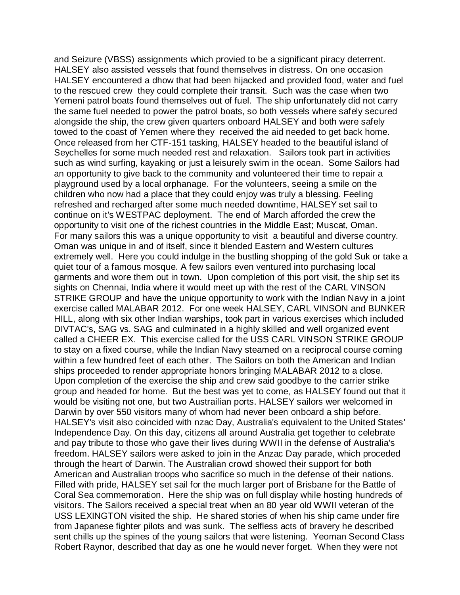and Seizure (VBSS) assignments which provied to be a significant piracy deterrent. HALSEY also assisted vessels that found themselves in distress. On one occasion HALSEY encountered a dhow that had been hijacked and provided food, water and fuel to the rescued crew they could complete their transit. Such was the case when two Yemeni patrol boats found themselves out of fuel. The ship unfortunately did not carry the same fuel needed to power the patrol boats, so both vessels where safely secured alongside the ship, the crew given quarters onboard HALSEY and both were safely towed to the coast of Yemen where they received the aid needed to get back home. Once released from her CTF-151 tasking, HALSEY headed to the beautiful island of Seychelles for some much needed rest and relaxation. Sailors took part in activities such as wind surfing, kayaking or just a leisurely swim in the ocean. Some Sailors had an opportunity to give back to the community and volunteered their time to repair a playground used by a local orphanage. For the volunteers, seeing a smile on the children who now had a place that they could enjoy was truly a blessing. Feeling refreshed and recharged after some much needed downtime, HALSEY set sail to continue on it's WESTPAC deployment. The end of March afforded the crew the opportunity to visit one of the richest countries in the Middle East; Muscat, Oman. For many sailors this was a unique opportunity to visit a beautiful and diverse country. Oman was unique in and of itself, since it blended Eastern and Western cultures extremely well. Here you could indulge in the bustling shopping of the gold Suk or take a quiet tour of a famous mosque. A few sailors even ventured into purchasing local garments and wore them out in town. Upon completion of this port visit, the ship set its sights on Chennai, India where it would meet up with the rest of the CARL VINSON STRIKE GROUP and have the unique opportunity to work with the Indian Navy in a joint exercise called MALABAR 2012. For one week HALSEY, CARL VINSON and BUNKER HILL, along with six other Indian warships, took part in various exercises which included DIVTAC's, SAG vs. SAG and culminated in a highly skilled and well organized event called a CHEER EX. This exercise called for the USS CARL VINSON STRIKE GROUP to stay on a fixed course, while the Indian Navy steamed on a reciprocal course coming within a few hundred feet of each other. The Sailors on both the American and Indian ships proceeded to render appropriate honors bringing MALABAR 2012 to a close. Upon completion of the exercise the ship and crew said goodbye to the carrier strike group and headed for home. But the best was yet to come, as HALSEY found out that it would be visiting not one, but two Austrailian ports. HALSEY sailors wer welcomed in Darwin by over 550 visitors many of whom had never been onboard a ship before. HALSEY's visit also coincided with nzac Day, Australia's equivalent to the United States' Independence Day. On this day, citizens all around Australia get together to celebrate and pay tribute to those who gave their lives during WWII in the defense of Australia's freedom. HALSEY sailors were asked to join in the Anzac Day parade, which proceded through the heart of Darwin. The Australian crowd showed their support for both American and Australian troops who sacrifice so much in the defense of their nations. Filled with pride, HALSEY set sail for the much larger port of Brisbane for the Battle of Coral Sea commemoration. Here the ship was on full display while hosting hundreds of visitors. The Sailors received a special treat when an 80 year old WWII veteran of the USS LEXINGTON visited the ship. He shared stories of when his ship came under fire from Japanese fighter pilots and was sunk. The selfless acts of bravery he described sent chills up the spines of the young sailors that were listening. Yeoman Second Class Robert Raynor, described that day as one he would never forget. When they were not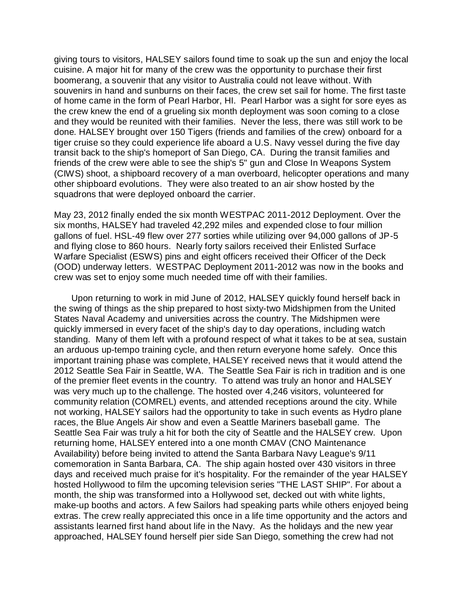giving tours to visitors, HALSEY sailors found time to soak up the sun and enjoy the local cuisine. A major hit for many of the crew was the opportunity to purchase their first boomerang, a souvenir that any visitor to Australia could not leave without. With souvenirs in hand and sunburns on their faces, the crew set sail for home. The first taste of home came in the form of Pearl Harbor, HI. Pearl Harbor was a sight for sore eyes as the crew knew the end of a grueling six month deployment was soon coming to a close and they would be reunited with their families. Never the less, there was still work to be done. HALSEY brought over 150 Tigers (friends and families of the crew) onboard for a tiger cruise so they could experience life aboard a U.S. Navy vessel during the five day transit back to the ship's homeport of San Diego, CA. During the transit families and friends of the crew were able to see the ship's 5" gun and Close In Weapons System (CIWS) shoot, a shipboard recovery of a man overboard, helicopter operations and many other shipboard evolutions. They were also treated to an air show hosted by the squadrons that were deployed onboard the carrier.

May 23, 2012 finally ended the six month WESTPAC 2011-2012 Deployment. Over the six months, HALSEY had traveled 42,292 miles and expended close to four million gallons of fuel. HSL-49 flew over 277 sorties while utilizing over 94,000 gallons of JP-5 and flying close to 860 hours. Nearly forty sailors received their Enlisted Surface Warfare Specialist (ESWS) pins and eight officers received their Officer of the Deck (OOD) underway letters. WESTPAC Deployment 2011-2012 was now in the books and crew was set to enjoy some much needed time off with their families.

 Upon returning to work in mid June of 2012, HALSEY quickly found herself back in the swing of things as the ship prepared to host sixty-two Midshipmen from the United States Naval Academy and universities across the country. The Midshipmen were quickly immersed in every facet of the ship's day to day operations, including watch standing. Many of them left with a profound respect of what it takes to be at sea, sustain an arduous up-tempo training cycle, and then return everyone home safely. Once this important training phase was complete, HALSEY received news that it would attend the 2012 Seattle Sea Fair in Seattle, WA. The Seattle Sea Fair is rich in tradition and is one of the premier fleet events in the country. To attend was truly an honor and HALSEY was very much up to the challenge. The hosted over 4,246 visitors, volunteered for community relation (COMREL) events, and attended receptions around the city. While not working, HALSEY sailors had the opportunity to take in such events as Hydro plane races, the Blue Angels Air show and even a Seattle Mariners baseball game. The Seattle Sea Fair was truly a hit for both the city of Seattle and the HALSEY crew. Upon returning home, HALSEY entered into a one month CMAV (CNO Maintenance Availability) before being invited to attend the Santa Barbara Navy League's 9/11 comemoration in Santa Barbara, CA. The ship again hosted over 430 visitors in three days and received much praise for it's hospitality. For the remainder of the year HALSEY hosted Hollywood to film the upcoming television series "THE LAST SHIP". For about a month, the ship was transformed into a Hollywood set, decked out with white lights, make-up booths and actors. A few Sailors had speaking parts while others enjoyed being extras. The crew really appreciated this once in a life time opportunity and the actors and assistants learned first hand about life in the Navy. As the holidays and the new year approached, HALSEY found herself pier side San Diego, something the crew had not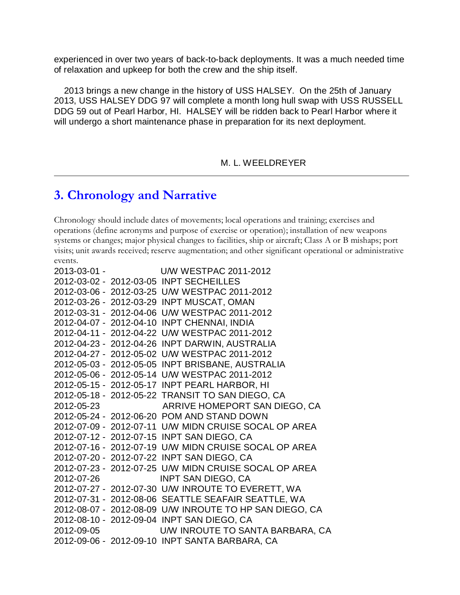experienced in over two years of back-to-back deployments. It was a much needed time of relaxation and upkeep for both the crew and the ship itself.

 2013 brings a new change in the history of USS HALSEY. On the 25th of January 2013, USS HALSEY DDG 97 will complete a month long hull swap with USS RUSSELL DDG 59 out of Pearl Harbor, HI. HALSEY will be ridden back to Pearl Harbor where it will undergo a short maintenance phase in preparation for its next deployment.

M. L. WEELDREYER

#### **3. Chronology and Narrative**

Chronology should include dates of movements; local operations and training; exercises and operations (define acronyms and purpose of exercise or operation); installation of new weapons systems or changes; major physical changes to facilities, ship or aircraft; Class A or B mishaps; port visits; unit awards received; reserve augmentation; and other significant operational or administrative events.

```
2013-03-01 - U/W WESTPAC 2011-2012
2012-03-02 - 2012-03-05 INPT SECHEILLES
2012-03-06 - 2012-03-25 U/W WESTPAC 2011-2012
2012-03-26 - 2012-03-29 INPT MUSCAT, OMAN
2012-03-31 - 2012-04-06 U/W WESTPAC 2011-2012
2012-04-07 - 2012-04-10 INPT CHENNAI, INDIA
2012-04-11 - 2012-04-22 U/W WESTPAC 2011-2012
2012-04-23 - 2012-04-26 INPT DARWIN, AUSTRALIA
2012-04-27 - 2012-05-02 U/W WESTPAC 2011-2012
2012-05-03 - 2012-05-05 INPT BRISBANE, AUSTRALIA
2012-05-06 - 2012-05-14 U/W WESTPAC 2011-2012
2012-05-15 - 2012-05-17 INPT PEARL HARBOR, HI
2012-05-18 - 2012-05-22 TRANSIT TO SAN DIEGO, CA
2012-05-23 ARRIVE HOMEPORT SAN DIEGO, CA
2012-05-24 - 2012-06-20 POM AND STAND DOWN
2012-07-09 - 2012-07-11 U/W MIDN CRUISE SOCAL OP AREA
2012-07-12 - 2012-07-15 INPT SAN DIEGO, CA
2012-07-16 - 2012-07-19 U/W MIDN CRUISE SOCAL OP AREA
2012-07-20 - 2012-07-22 INPT SAN DIEGO, CA
2012-07-23 - 2012-07-25 U/W MIDN CRUISE SOCAL OP AREA
2012-07-26 INPT SAN DIEGO, CA
2012-07-27 - 2012-07-30 U/W INROUTE TO EVERETT, WA
2012-07-31 - 2012-08-06 SEATTLE SEAFAIR SEATTLE, WA
2012-08-07 - 2012-08-09 U/W INROUTE TO HP SAN DIEGO, CA
2012-08-10 - 2012-09-04 INPT SAN DIEGO, CA
2012-09-05 U/W INROUTE TO SANTA BARBARA, CA
2012-09-06 - 2012-09-10 INPT SANTA BARBARA, CA
```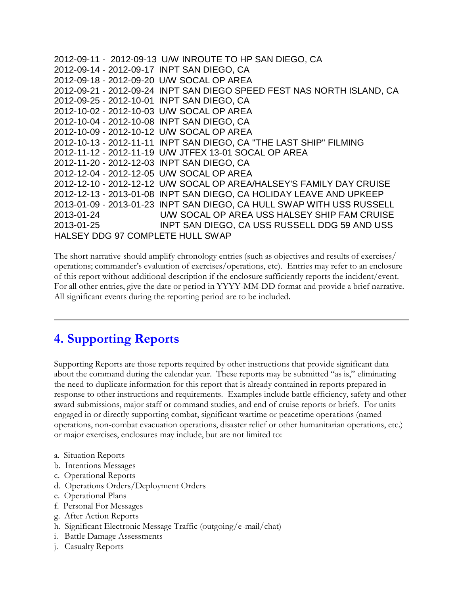```
2012-09-11 - 2012-09-13 U/W INROUTE TO HP SAN DIEGO, CA
2012-09-14 - 2012-09-17 INPT SAN DIEGO, CA
2012-09-18 - 2012-09-20 U/W SOCAL OP AREA
2012-09-21 - 2012-09-24 INPT SAN DIEGO SPEED FEST NAS NORTH ISLAND, CA
2012-09-25 - 2012-10-01 INPT SAN DIEGO, CA
2012-10-02 - 2012-10-03 U/W SOCAL OP AREA
2012-10-04 - 2012-10-08 INPT SAN DIEGO, CA
2012-10-09 - 2012-10-12 U/W SOCAL OP AREA
2012-10-13 - 2012-11-11 INPT SAN DIEGO, CA "THE LAST SHIP" FILMING
2012-11-12 - 2012-11-19 U/W JTFEX 13-01 SOCAL OP AREA
2012-11-20 - 2012-12-03 INPT SAN DIEGO, CA 
2012-12-04 - 2012-12-05 U/W SOCAL OP AREA
2012-12-10 - 2012-12-12 U/W SOCAL OP AREA/HALSEY'S FAMILY DAY CRUISE
2012-12-13 - 2013-01-08 INPT SAN DIEGO, CA HOLIDAY LEAVE AND UPKEEP
2013-01-09 - 2013-01-23 INPT SAN DIEGO, CA HULL SWAP WITH USS RUSSELL 
2013-01-24 U/W SOCAL OP AREA USS HALSEY SHIP FAM CRUISE
2013-01-25 INPT SAN DIEGO, CA USS RUSSELL DDG 59 AND USS 
HALSEY DDG 97 COMPLETE HULL SWAP
```
The short narrative should amplify chronology entries (such as objectives and results of exercises/ operations; commander's evaluation of exercises/operations, etc). Entries may refer to an enclosure of this report without additional description if the enclosure sufficiently reports the incident/event. For all other entries, give the date or period in YYYY-MM-DD format and provide a brief narrative. All significant events during the reporting period are to be included.

### **4. Supporting Reports**

Supporting Reports are those reports required by other instructions that provide significant data about the command during the calendar year. These reports may be submitted "as is," eliminating the need to duplicate information for this report that is already contained in reports prepared in response to other instructions and requirements. Examples include battle efficiency, safety and other award submissions, major staff or command studies, and end of cruise reports or briefs. For units engaged in or directly supporting combat, significant wartime or peacetime operations (named operations, non-combat evacuation operations, disaster relief or other humanitarian operations, etc.) or major exercises, enclosures may include, but are not limited to:

- a. Situation Reports
- b. Intentions Messages
- c. Operational Reports
- d. Operations Orders/Deployment Orders
- e. Operational Plans
- f. Personal For Messages
- g. After Action Reports
- h. Significant Electronic Message Traffic (outgoing/e-mail/chat)
- i. Battle Damage Assessments
- j. Casualty Reports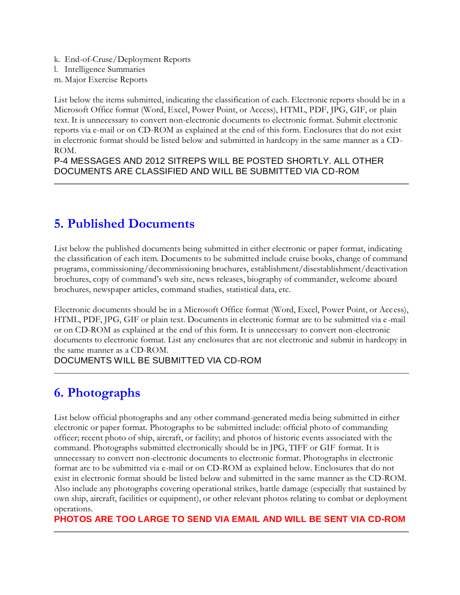- k. End-of-Cruse/Deployment Reports
- l. Intelligence Summaries m. Major Exercise Reports

List below the items submitted, indicating the classification of each. Electronic reports should be in a Microsoft Office format (Word, Excel, Power Point, or Access), HTML, PDF, JPG, GIF, or plain text. It is unnecessary to convert non-electronic documents to electronic format. Submit electronic reports via e-mail or on CD-ROM as explained at the end of this form. Enclosures that do not exist in electronic format should be listed below and submitted in hardcopy in the same manner as a CD-ROM.

P-4 MESSAGES AND 2012 SITREPS WILL BE POSTED SHORTLY. ALL OTHER DOCUMENTS ARE CLASSIFIED AND WILL BE SUBMITTED VIA CD-ROM

## **5. Published Documents**

List below the published documents being submitted in either electronic or paper format, indicating the classification of each item. Documents to be submitted include cruise books, change of command programs, commissioning/decommissioning brochures, establishment/disestablishment/deactivation brochures, copy of command's web site, news releases, biography of commander, welcome aboard brochures, newspaper articles, command studies, statistical data, etc.

Electronic documents should be in a Microsoft Office format (Word, Excel, Power Point, or Access), HTML, PDF, JPG, GIF or plain text. Documents in electronic format are to be submitted via e -mail or on CD-ROM as explained at the end of this form. It is unnecessary to convert non-electronic documents to electronic format. List any enclosures that are not electronic and submit in hardcopy in the same manner as a CD-ROM.

DOCUMENTS WILL BE SUBMITTED VIA CD-ROM

## **6. Photographs**

List below official photographs and any other command-generated media being submitted in either electronic or paper format. Photographs to be submitted include: official photo of commanding officer; recent photo of ship, aircraft, or facility; and photos of historic events associated with the command. Photographs submitted electronically should be in JPG, TIFF or GIF format. It is unnecessary to convert non-electronic documents to electronic format. Photographs in electronic format are to be submitted via e-mail or on CD-ROM as explained below. Enclosures that do not exist in electronic format should be listed below and submitted in the same manner as the CD-ROM. Also include any photographs covering operational strikes, battle damage (especially that sustained by own ship, aircraft, facilities or equipment), or other relevant photos relating to combat or deployment operations.

**PHOTOS ARE TOO LARGE TO SEND VIA EMAIL AND WILL BE SENT VIA CD-ROM**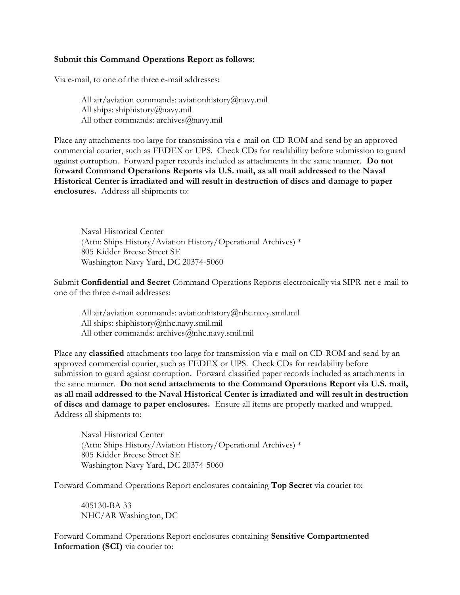#### **Submit this Command Operations Report as follows:**

Via e-mail, to one of the three e-mail addresses:

All air/aviation commands: aviationhistory@navy.mil All ships: shiphistory@navy.mil All other commands: archives@navy.mil

Place any attachments too large for transmission via e-mail on CD-ROM and send by an approved commercial courier, such as FEDEX or UPS. Check CDs for readability before submission to guard against corruption. Forward paper records included as attachments in the same manner. **Do not forward Command Operations Reports via U.S. mail, as all mail addressed to the Naval Historical Center is irradiated and will result in destruction of discs and damage to paper enclosures.** Address all shipments to:

Naval Historical Center (Attn: Ships History/Aviation History/Operational Archives) \* 805 Kidder Breese Street SE Washington Navy Yard, DC 20374-5060

Submit **Confidential and Secret** Command Operations Reports electronically via SIPR-net e-mail to one of the three e-mail addresses:

All air/aviation commands: aviationhistory@nhc.navy.smil.mil All ships: shiphistory@nhc.navy.smil.mil All other commands: archives@nhc.navy.smil.mil

Place any **classified** attachments too large for transmission via e-mail on CD-ROM and send by an approved commercial courier, such as FEDEX or UPS. Check CDs for readability before submission to guard against corruption. Forward classified paper records included as attachments in the same manner. **Do not send attachments to the Command Operations Report via U.S. mail, as all mail addressed to the Naval Historical Center is irradiated and will result in destruction of discs and damage to paper enclosures.** Ensure all items are properly marked and wrapped. Address all shipments to:

Naval Historical Center (Attn: Ships History/Aviation History/Operational Archives) \* 805 Kidder Breese Street SE Washington Navy Yard, DC 20374-5060

Forward Command Operations Report enclosures containing **Top Secret** via courier to:

405130-BA 33 NHC/AR Washington, DC

Forward Command Operations Report enclosures containing **Sensitive Compartmented Information (SCI)** via courier to: